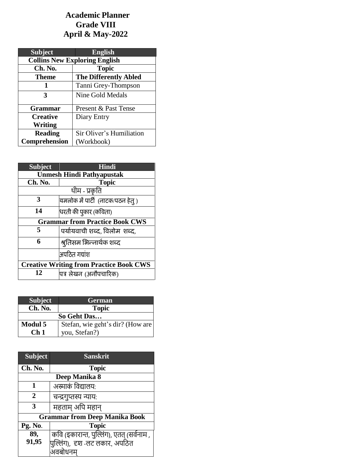# **Academic Planner Grade VIII April & May-2022**

| <b>Subject</b>                       | <b>English</b>               |
|--------------------------------------|------------------------------|
| <b>Collins New Exploring English</b> |                              |
| Ch. No.                              | <b>Topic</b>                 |
| <b>Theme</b>                         | <b>The Differently Abled</b> |
|                                      | Tanni Grey-Thompson          |
| 3                                    | Nine Gold Medals             |
|                                      |                              |
| <b>Grammar</b>                       | Present & Past Tense         |
| <b>Creative</b>                      | Diary Entry                  |
| Writing                              |                              |
| <b>Reading</b>                       | Sir Oliver's Humiliation     |
| Comprehension                        | (Workbook)                   |

| <b>Subject</b>                                 | Hindi                              |
|------------------------------------------------|------------------------------------|
| <b>Unmesh Hindi Pathyapustak</b>               |                                    |
| Ch. No.                                        | <b>Topic</b>                       |
| थीम - प्रकृति                                  |                                    |
| 3                                              | यमलोक में पार्टी  (नाटक/पठन हेतु ) |
| 14                                             | धरती की पुकार (कविता)              |
| <b>Grammar from Practice Book CWS</b>          |                                    |
| 5                                              | पर्यायवाची शब्द, विलोम शब्द,       |
| 6                                              | श्रुतिसम भिन्नार्थक शब्द           |
|                                                | अपठित गद्यांश                      |
| <b>Creative Writing from Practice Book CWS</b> |                                    |
| 12                                             | पत्र लेखन (अनौपचारिक)              |

| <b>Subject</b>  | <b>German</b>                    |
|-----------------|----------------------------------|
| Ch. No.         | <b>Topic</b>                     |
| So Geht Das     |                                  |
| <b>Modul 5</b>  | Stefan, wie geht's dir? (How are |
| Ch <sub>1</sub> | you, Stefan?)                    |

| <b>Subject</b> | <b>Sanskrit</b>                           |
|----------------|-------------------------------------------|
| Ch. No.        | <b>Topic</b>                              |
| Deep Manika 8  |                                           |
| 1              | अस्माकं विद्यालय:                         |
| $\mathbf{2}$   | चन्द्रगुप्तस्य न्याय:                     |
| 3              | महताम अपि महान्                           |
|                | <b>Grammar from Deep Manika Book</b>      |
| Pg. No.        | <b>Topic</b>                              |
| 89,            | कवि (इकारान्त, पुल्लिंग), एतत् (सर्वनाम , |
| 91,95          | पुल्लिंग),  दृश -लट लकार, अपठित           |
|                | अवबोधनम्                                  |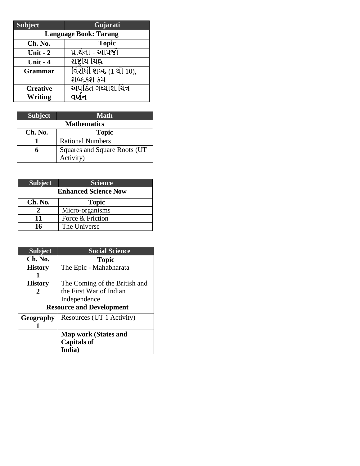| <b>Subject</b>               | Gujarati                      |
|------------------------------|-------------------------------|
| <b>Language Book: Tarang</b> |                               |
| Ch. No.                      | <b>Topic</b>                  |
| Unit $-2$                    | પ્રાર્થના - આપજો              |
| Unit - 4                     | રાષ્ટ્રીય યિહ્ન               |
| <b>Grammar</b>               | <u>વિરોધી શબ્દ (1</u> થી 10), |
|                              | શબ્દકશ ક્રમ                   |
| <b>Creative</b>              | <u> અપઠિત ગધ્યાંશ,યિત્ર</u>   |
| <b>Writing</b>               | વણેન                          |

| <b>Subject</b>     | <b>Math</b>                   |
|--------------------|-------------------------------|
| <b>Mathematics</b> |                               |
| Ch. No.            | <b>Topic</b>                  |
|                    | <b>Rational Numbers</b>       |
|                    | Squares and Square Roots (UT) |
|                    | Activity)                     |

| <b>Subject</b>              | <b>Science</b>   |
|-----------------------------|------------------|
| <b>Enhanced Science Now</b> |                  |
| Ch. No.                     | <b>Topic</b>     |
|                             | Micro-organisms  |
| 11                          | Force & Friction |
| 16                          | The Universe     |

| <b>Subject</b>                  | <b>Social Science</b>         |
|---------------------------------|-------------------------------|
| Ch. No.                         | <b>Topic</b>                  |
| <b>History</b>                  | The Epic - Mahabharata        |
|                                 |                               |
| <b>History</b>                  | The Coming of the British and |
| 2                               | the First War of Indian       |
|                                 | Independence                  |
| <b>Resource and Development</b> |                               |
| Geography                       | Resources (UT 1 Activity)     |
|                                 |                               |
|                                 | <b>Map work (States and</b>   |
|                                 | <b>Capitals of</b>            |
|                                 | India)                        |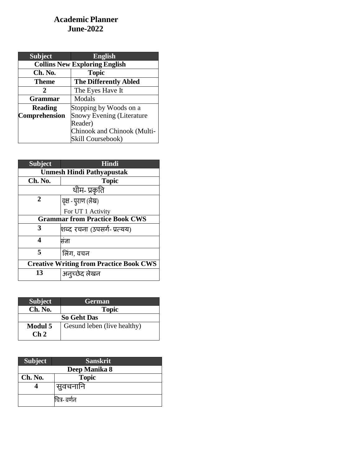### **Academic Planner June-2022**

| <b>Subject</b>                       | <b>English</b>                   |
|--------------------------------------|----------------------------------|
| <b>Collins New Exploring English</b> |                                  |
| Ch. No.                              | <b>Topic</b>                     |
| Theme                                | <b>The Differently Abled</b>     |
| 2                                    | The Eyes Have It                 |
| <b>Grammar</b>                       | Modals                           |
| <b>Reading</b>                       | Stopping by Woods on a           |
| <b>Comprehension</b>                 | <b>Snowy Evening (Literature</b> |
|                                      | Reader)                          |
|                                      | Chinook and Chinook (Multi-      |
|                                      | Skill Coursebook)                |

| <b>Subject</b>                                 | Hindi                       |
|------------------------------------------------|-----------------------------|
| <b>Unmesh Hindi Pathyapustak</b>               |                             |
| Ch. No.                                        | <b>Topic</b>                |
| थीम- प्रकृति                                   |                             |
| 2                                              | वृक्ष - पुराण (लेख)         |
|                                                | For UT 1 Activity           |
| <b>Grammar from Practice Book CWS</b>          |                             |
| 3                                              | शब्द रचना (उपसर्ग- प्रत्यय) |
| 4                                              | सज्ञा                       |
| 5                                              | लिंग, वचन                   |
| <b>Creative Writing from Practice Book CWS</b> |                             |
| 13                                             | अनुच्छेद लेखन               |

| <b>Subject</b>                    | <b>German</b>               |
|-----------------------------------|-----------------------------|
| Ch. No.                           | <b>Topic</b>                |
| <b>So Geht Das</b>                |                             |
| <b>Modul 5</b><br>$\mathbf{Ch} 2$ | Gesund leben (live healthy) |
|                                   |                             |

| <b>Subject</b> | <b>Sanskrit</b> |
|----------------|-----------------|
| Deep Manika 8  |                 |
| Ch. No.        | <b>Topic</b>    |
|                | सुवचनानि        |
|                | चित्र- वर्णन    |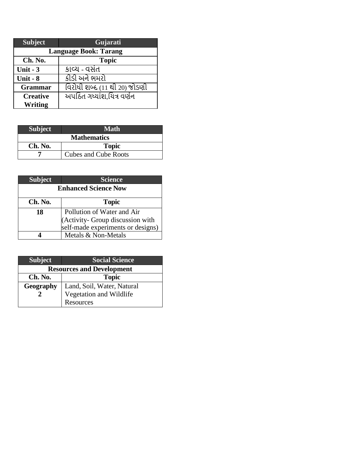| <b>Subject</b>               | Gujarati                          |  |
|------------------------------|-----------------------------------|--|
| <b>Language Book: Tarang</b> |                                   |  |
| Ch. No.                      | <b>Topic</b>                      |  |
| Unit - $3$                   | કાવ્ય - વસંત                      |  |
| Unit - 8                     | કીડી અને ભમરો                     |  |
| <b>Grammar</b>               | વિરોધી શબ્દ (11 થી 20) જોડણી      |  |
| <b>Creative</b>              | <u> અપઠિત ગધ્યાંશ.યિત્ર વર્ણન</u> |  |
| <b>Writing</b>               |                                   |  |

| <b>Subject</b>     | <b>Math</b>                 |
|--------------------|-----------------------------|
| <b>Mathematics</b> |                             |
| Ch. No.            | <b>Topic</b>                |
|                    | <b>Cubes and Cube Roots</b> |

| <b>Subject</b>              | <b>Science</b>                                                                                      |
|-----------------------------|-----------------------------------------------------------------------------------------------------|
| <b>Enhanced Science Now</b> |                                                                                                     |
| Ch. No.                     | <b>Topic</b>                                                                                        |
| 18                          |                                                                                                     |
|                             | Pollution of Water and Air<br>(Activity- Group discussion with<br>self-made experiments or designs) |
|                             |                                                                                                     |
|                             | Metals & Non-Metals                                                                                 |

| <b>Subject</b>                   | <b>Social Science</b>      |
|----------------------------------|----------------------------|
| <b>Resources and Development</b> |                            |
| Ch. No.                          | <b>Topic</b>               |
| Geography                        | Land, Soil, Water, Natural |
|                                  | Vegetation and Wildlife    |
|                                  | Resources                  |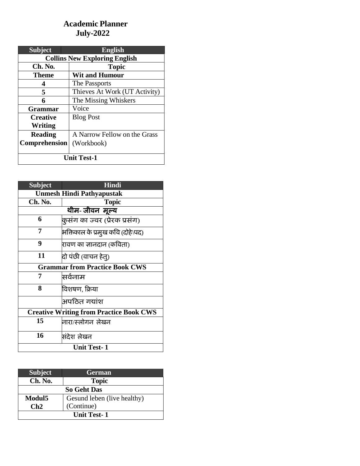# **Academic Planner July-2022**

| <b>Subject</b>                       | <b>English</b>                |
|--------------------------------------|-------------------------------|
| <b>Collins New Exploring English</b> |                               |
| Ch. No.                              | <b>Topic</b>                  |
| <b>Theme</b>                         | <b>Wit and Humour</b>         |
| 4                                    | The Passports                 |
| 5                                    | Thieves At Work (UT Activity) |
| 6                                    | The Missing Whiskers          |
| <b>Grammar</b>                       | Voice                         |
| <b>Creative</b>                      | <b>Blog Post</b>              |
| Writing                              |                               |
| <b>Reading</b>                       | A Narrow Fellow on the Grass  |
| <b>Comprehension</b>                 | (Workbook)                    |
|                                      |                               |
| <b>Unit Test-1</b>                   |                               |

| <b>Subject</b>                                 | <b>Hindi</b>                     |  |
|------------------------------------------------|----------------------------------|--|
| <b>Unmesh Hindi Pathyapustak</b>               |                                  |  |
| Ch. No.                                        | <b>Topic</b>                     |  |
|                                                | थीम- जीवन मूल्य                  |  |
| 6                                              | कुसंग का ज्वर (प्रेरक प्रसंग)    |  |
| 7                                              | भक्तिकाल के प्रमुख कवि (दोहे\पद) |  |
| 9                                              | रावण का जानदान (कविता)           |  |
| 11                                             | दो पंछी (वाचन हेत्)              |  |
| <b>Grammar from Practice Book CWS</b>          |                                  |  |
| 7                                              | सर्वनाम                          |  |
| 8                                              | विशषण, क्रिया                    |  |
|                                                | अपठित गद्यांश                    |  |
| <b>Creative Writing from Practice Book CWS</b> |                                  |  |
| 15                                             | नारा/स्लोगन लेखन                 |  |
| 16                                             | संदेश लेखन                       |  |
| <b>Unit Test-1</b>                             |                                  |  |

| <b>Subject</b>     | <b>German</b>               |  |
|--------------------|-----------------------------|--|
| Ch. No.            | <b>Topic</b>                |  |
| <b>So Geht Das</b> |                             |  |
| Modul <sub>5</sub> | Gesund leben (live healthy) |  |
| $\mathbf C$ h2     | (Continue)                  |  |
| <b>Unit Test-1</b> |                             |  |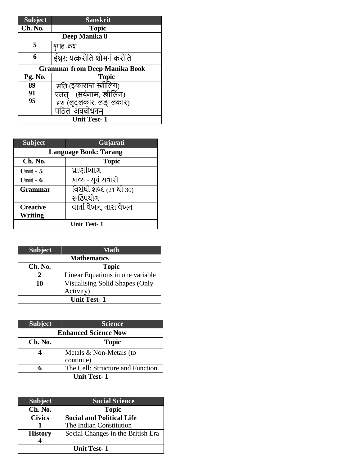| <b>Subject</b>                       | <b>Sanskrit</b>             |  |  |
|--------------------------------------|-----------------------------|--|--|
| Ch. No.                              | <b>Topic</b>                |  |  |
|                                      | Deep Manika 8               |  |  |
| 5                                    | शृगाल -कथा                  |  |  |
| 6                                    | ईश्वर: यत्करोति शोभनं करोति |  |  |
| <b>Grammar from Deep Manika Book</b> |                             |  |  |
| Pg. No.                              | <b>Topic</b>                |  |  |
| 89                                   | मति (इकारान्त स्त्रीलिंग)   |  |  |
| 91                                   | एतत् (सर्वनाम, स्त्रीलिंग)  |  |  |
| 95                                   | दृश (लृट्लकार, लङ् लकार)    |  |  |
|                                      | पठित <sup>ॅ</sup> अंवबोधनम  |  |  |
| <b>Unit Test-1</b>                   |                             |  |  |

| <b>Subject</b>     | Gujarati                      |  |
|--------------------|-------------------------------|--|
|                    | <b>Language Book: Tarang</b>  |  |
| Ch. No.            | <b>Topic</b>                  |  |
| Unit $-5$          | પ્રાણીબાગ                     |  |
| Unit $-6$          | કાવ્ય - સૂર્ય સવારી           |  |
| <b>Grammar</b>     | <u>વિરોધી શબ્દ (21 થી 30)</u> |  |
|                    | રુઢિપ્રયોગ                    |  |
| <b>Creative</b>    | વાર્તા લેખન. નારા લેખન        |  |
| Writing            |                               |  |
| <b>Unit Test-1</b> |                               |  |

| <b>Subject</b>     | <b>Math</b>                      |
|--------------------|----------------------------------|
| <b>Mathematics</b> |                                  |
| Ch. No.            | <b>Topic</b>                     |
|                    | Linear Equations in one variable |
| 10                 | Visualising Solid Shapes (Only   |
|                    | Activity)                        |
| <b>Unit Test-1</b> |                                  |

| <b>Subject</b>              | <b>Science</b>                   |
|-----------------------------|----------------------------------|
| <b>Enhanced Science Now</b> |                                  |
| Ch. No.                     | <b>Topic</b>                     |
|                             | Metals & Non-Metals (to          |
|                             | continue)                        |
|                             | The Cell: Structure and Function |
| <b>Unit Test-1</b>          |                                  |

| <b>Subject</b>     | <b>Social Science</b>             |
|--------------------|-----------------------------------|
| Ch. No.            | <b>Topic</b>                      |
| <b>Civics</b>      | <b>Social and Political Life</b>  |
|                    | The Indian Constitution           |
| <b>History</b>     | Social Changes in the British Era |
|                    |                                   |
| <b>Unit Test-1</b> |                                   |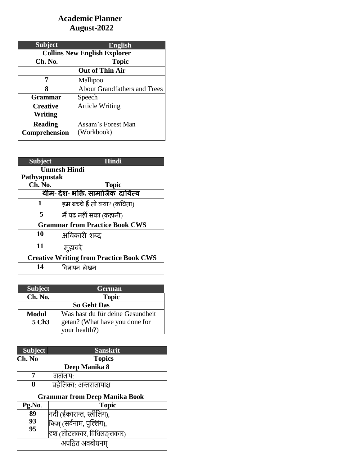# **Academic Planner August-2022**

| <b>Subject</b>                      | <b>English</b>                      |
|-------------------------------------|-------------------------------------|
| <b>Collins New English Explorer</b> |                                     |
| Ch. No.                             | <b>Topic</b>                        |
|                                     | <b>Out of Thin Air</b>              |
| 7                                   | Mallipoo                            |
| 8                                   | <b>About Grandfathers and Trees</b> |
| <b>Grammar</b>                      | Speech                              |
| <b>Creative</b>                     | <b>Article Writing</b>              |
| Writing                             |                                     |
| <b>Reading</b>                      | Assam's Forest Man                  |
| Comprehension                       | (Workbook)                          |

| <b>Subject</b>                                 | <b>Hindi</b>                  |  |
|------------------------------------------------|-------------------------------|--|
|                                                | <b>Unmesh Hindi</b>           |  |
| Pathyapustak                                   |                               |  |
| Ch. No.                                        | <b>Topic</b>                  |  |
| थीम- देश- भक्ति, सामाजिक दायित्व               |                               |  |
| 1                                              | हम बच्चे हैं तो क्या? (कविता) |  |
| 5                                              | मैं पढ़ नहीं सका (कहानी)      |  |
| <b>Grammar from Practice Book CWS</b>          |                               |  |
| 10                                             | अविकारी शब्द                  |  |
| 11                                             | मुहावरे                       |  |
| <b>Creative Writing from Practice Book CWS</b> |                               |  |
| 14                                             | विज्ञापन लेखन                 |  |

| <b>Subject</b>     | <b>German</b>                    |
|--------------------|----------------------------------|
| Ch. No.            | <b>Topic</b>                     |
| <b>So Geht Das</b> |                                  |
| <b>Modul</b>       | Was hast du für deine Gesundheit |
| 5 Ch <sub>3</sub>  | getan? (What have you done for   |
|                    | your health?)                    |

| <b>Subject</b>                       | <b>Sanskrit</b>             |  |
|--------------------------------------|-----------------------------|--|
| Ch. No                               | <b>Topics</b>               |  |
| Deep Manika 8                        |                             |  |
| 7                                    | वातोलाप∙                    |  |
| 8                                    | प्रहेलिका: अन्तरालापाश्च    |  |
| <b>Grammar from Deep Manika Book</b> |                             |  |
| Pg.No.                               | Topic                       |  |
| 89                                   | नदी (ईकारान्त, स्त्रीलिंग), |  |
| 93                                   | किम् (सर्वनाम, पुल्लिंग),   |  |
| 95                                   | हृश (लोटलकार, विधिलङ्लकार)  |  |
| अपठित अवबोधनम्                       |                             |  |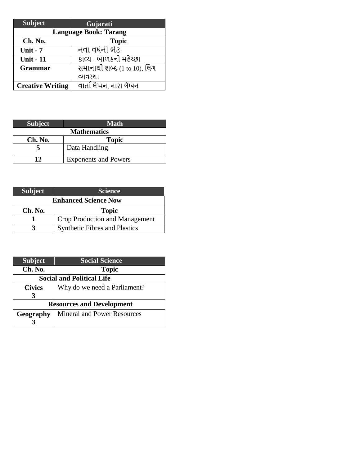| <b>Subject</b>               | Gujarati                                  |
|------------------------------|-------------------------------------------|
| <b>Language Book: Tarang</b> |                                           |
| Ch. No.                      | <b>Topic</b>                              |
| <b>Unit - 7</b>              | નવા વર્ષની ભેટ                            |
| <b>Unit - 11</b>             | કાવ્ય - બાળકની મહેચ્છા                    |
| <b>Grammar</b>               | સમાનાર્થી શબ્દ $(1 \text{ to } 10)$ , લિગ |
|                              | વ્યવસ્થા                                  |
| <b>Creative Writing</b>      | વાર્તા લેખન, નારા લેખન                    |

| <b>Subject</b>     | <b>Math</b>                 |
|--------------------|-----------------------------|
| <b>Mathematics</b> |                             |
| Ch. No.            | <b>Topic</b>                |
|                    | Data Handling               |
| 17                 | <b>Exponents and Powers</b> |

| <b>Subject</b>              | <b>Science</b>                       |
|-----------------------------|--------------------------------------|
| <b>Enhanced Science Now</b> |                                      |
| Ch. No.                     | <b>Topic</b>                         |
|                             | Crop Production and Management       |
|                             | <b>Synthetic Fibres and Plastics</b> |

| <b>Subject</b>                   | <b>Social Science</b>              |
|----------------------------------|------------------------------------|
| Ch. No.                          | <b>Topic</b>                       |
| <b>Social and Political Life</b> |                                    |
| <b>Civics</b>                    | Why do we need a Parliament?       |
| 3                                |                                    |
| <b>Resources and Development</b> |                                    |
| Geography                        | <b>Mineral and Power Resources</b> |
|                                  |                                    |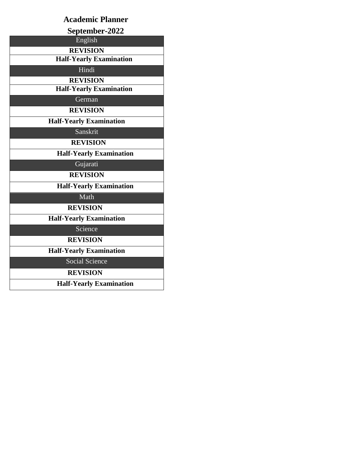| <b>Academic Planner</b>        |
|--------------------------------|
| September-2022                 |
| English                        |
| <b>REVISION</b>                |
| <b>Half-Yearly Examination</b> |
| Hindi                          |
| <b>REVISION</b>                |
| <b>Half-Yearly Examination</b> |
| German                         |
| <b>REVISION</b>                |
| <b>Half-Yearly Examination</b> |
| Sanskrit                       |
| <b>REVISION</b>                |
| <b>Half-Yearly Examination</b> |
| Gujarati                       |
| <b>REVISION</b>                |
| <b>Half-Yearly Examination</b> |
| Math                           |
| <b>REVISION</b>                |
| <b>Half-Yearly Examination</b> |
| Science                        |
| <b>REVISION</b>                |
| <b>Half-Yearly Examination</b> |
| Social Science                 |
| <b>REVISION</b>                |
| <b>Half-Yearly Examination</b> |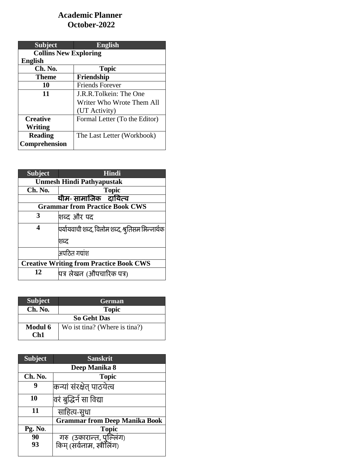### **Academic Planner October-2022**

| <b>Subject</b>               | <b>English</b>                |
|------------------------------|-------------------------------|
| <b>Collins New Exploring</b> |                               |
| <b>English</b>               |                               |
| Ch. No.                      | <b>Topic</b>                  |
| <b>Theme</b>                 | Friendship                    |
| 10                           | <b>Friends Forever</b>        |
| 11                           | J.R.R.Tolkein: The One        |
|                              | Writer Who Wrote Them All     |
|                              | (UT Activity)                 |
| <b>Creative</b>              | Formal Letter (To the Editor) |
| Writing                      |                               |
| <b>Reading</b>               | The Last Letter (Workbook)    |
| <b>Comprehension</b>         |                               |

| <b>Subject</b>                                 | <b>Hindi</b>                                     |  |
|------------------------------------------------|--------------------------------------------------|--|
|                                                | <b>Unmesh Hindi Pathyapustak</b>                 |  |
| Ch. No.                                        | <b>Topic</b>                                     |  |
|                                                | थीम- सामाजिक दायित्व                             |  |
|                                                | <b>Grammar from Practice Book CWS</b>            |  |
| 3                                              | शब्द और पद                                       |  |
| 4                                              | पर्यायवाची शब्द, विलोम शब्द, श्रुतिसम भिन्नार्थक |  |
|                                                | शब्द                                             |  |
|                                                | अपठित गद्यांश                                    |  |
| <b>Creative Writing from Practice Book CWS</b> |                                                  |  |
| 12                                             | पित्र लेखन (औपचारिक पत्र)                        |  |

| Subject                                                           | <b>German</b> |  |
|-------------------------------------------------------------------|---------------|--|
| Ch. No.                                                           | <b>Topic</b>  |  |
| <b>So Geht Das</b>                                                |               |  |
| <b>Modul 6</b><br>Wo ist tina? (Where is tina?)<br>$\mathsf{Ch}1$ |               |  |

| <b>Subject</b> | <b>Sanskrit</b>                                          |
|----------------|----------------------------------------------------------|
|                | Deep Manika 8                                            |
| Ch. No.        | <b>Topic</b>                                             |
| 9              | कन्यां संरक्षेत् पाठयेत्व                                |
| 10             | वरं बुद्धिर्न सा विद्या                                  |
| 11             | साहित्य-सुधा                                             |
|                | <b>Grammar from Deep Manika Book</b>                     |
| Pg. No.        | <b>Topic</b>                                             |
| 90             |                                                          |
| 93             | ं गरु (उकारान्त, पुल्लिंग)<br>किम् (सर्वनाम, स्त्रीलिंग) |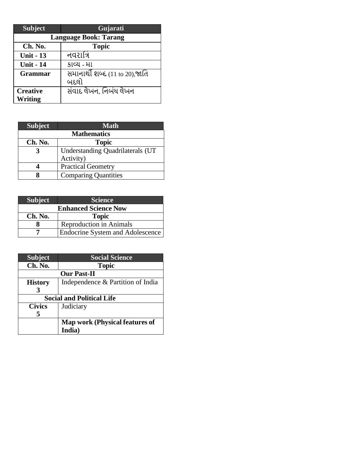| <b>Subject</b>   | Gujarati                       |
|------------------|--------------------------------|
|                  | <b>Language Book: Tarang</b>   |
| Ch. No.          | <b>Topic</b>                   |
| <b>Unit - 13</b> | નવરાત્રિ                       |
| <b>Unit - 14</b> | કાવ્ય - મા                     |
| <b>Grammar</b>   | સમાનાર્થી શબ્દ (11 to 20),જાતિ |
|                  | બદલો                           |
| <b>Creative</b>  | સંવાદ લેખન, નિબંધ લેખન         |
| <b>Writing</b>   |                                |

| <b>Subject</b>     | <b>Math</b>                      |
|--------------------|----------------------------------|
| <b>Mathematics</b> |                                  |
| Ch. No.            | <b>Topic</b>                     |
| 3                  | Understanding Quadrilaterals (UT |
|                    | Activity)                        |
|                    | <b>Practical Geometry</b>        |
|                    | <b>Comparing Quantities</b>      |

| Subject <sup>1</sup> | <b>Science</b>                          |
|----------------------|-----------------------------------------|
|                      | <b>Enhanced Science Now</b>             |
| Ch. No.              | <b>Topic</b>                            |
|                      | <b>Reproduction in Animals</b>          |
|                      | <b>Endocrine System and Adolescence</b> |

| <b>Subject</b> | <b>Social Science</b>                 |
|----------------|---------------------------------------|
| Ch. No.        | <b>Topic</b>                          |
|                | <b>Our Past-II</b>                    |
| <b>History</b> | Independence & Partition of India     |
| 3              |                                       |
|                | <b>Social and Political Life</b>      |
| <b>Civics</b>  | Judiciary                             |
| 5              |                                       |
|                | <b>Map work (Physical features of</b> |
|                | India)                                |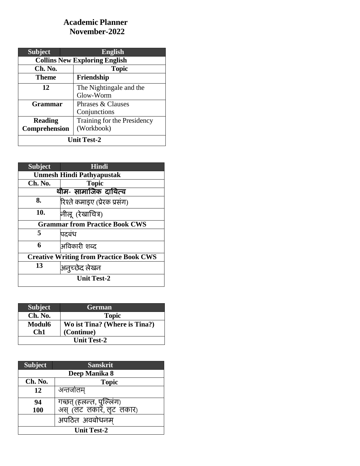### **Academic Planner November-2022**

| <b>Subject</b> | <b>English</b>                       |
|----------------|--------------------------------------|
|                | <b>Collins New Exploring English</b> |
| Ch. No.        | <b>Topic</b>                         |
| Theme          | Friendship                           |
| 12             | The Nightingale and the              |
|                | Glow-Worm                            |
| <b>Grammar</b> | Phrases & Clauses                    |
|                | Conjunctions                         |
| <b>Reading</b> | Training for the Presidency          |
| Comprehension  | (Workbook)                           |
|                | <b>Unit Test-2</b>                   |

| <b>Subject</b> | <b>Hindi</b>                                   |  |
|----------------|------------------------------------------------|--|
|                | <b>Unmesh Hindi Pathyapustak</b>               |  |
| Ch. No.        | <b>Topic</b>                                   |  |
|                | थीम- सामाजिक दायित्व                           |  |
| 8.             | रिश्ते कमाइए (प्रेरक प्रसंग)                   |  |
| 10.            | नीलू (रेखाचित्र)                               |  |
|                | <b>Grammar from Practice Book CWS</b>          |  |
| 5              | पदबंध                                          |  |
| 6              | अविकारी शब्द                                   |  |
|                | <b>Creative Writing from Practice Book CWS</b> |  |
| 13             | अनुच्छेद लेखन                                  |  |
|                | <b>Unit Test-2</b>                             |  |

| <b>Subject</b> | <b>German</b>                 |
|----------------|-------------------------------|
| Ch. No.        | <b>Topic</b>                  |
| <b>Modul6</b>  | Wo ist Tina? (Where is Tina?) |
| $\mathsf{Ch}1$ | (Continue)                    |
|                | <b>Unit Test-2</b>            |

| <b>Subject</b> | <b>Sanskrit</b>                                      |
|----------------|------------------------------------------------------|
|                | Deep Manika 8                                        |
| Ch. No.        | <b>Topic</b>                                         |
| 12             | अन्तर्जालम्                                          |
| 94             | गच्छत् (हलन्त, पुल्लिंग)<br>अस् (लट)लकार, लूट) लकार) |
| 100            |                                                      |
|                | अपठित अवबोधनम                                        |
|                | <b>Unit Test-2</b>                                   |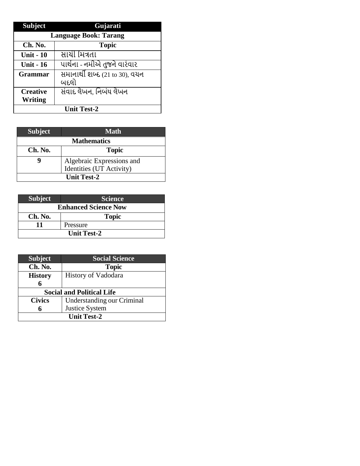| <b>Subject</b>   | Gujarati                              |
|------------------|---------------------------------------|
|                  | <b>Language Book: Tarang</b>          |
| Ch. No.          | <b>Topic</b>                          |
| <b>Unit - 10</b> | સાયી મિત્રતા                          |
| <b>Unit - 16</b> | પાર્થના - નમીએ તુજને વારંવાર          |
| <b>Grammar</b>   | <u>સમાનાર્થી શબ્દ (21 to 30),</u> વયન |
|                  | બદલો                                  |
| <b>Creative</b>  | સંવાદ લેખન, નિબંધ લેખન                |
| Writing          |                                       |
|                  | <b>Unit Test-2</b>                    |

| <b>Subject</b>     | <b>Math</b>               |
|--------------------|---------------------------|
| <b>Mathematics</b> |                           |
| Ch. No.            | <b>Topic</b>              |
|                    | Algebraic Expressions and |
|                    | Identities (UT Activity)  |
| <b>Unit Test-2</b> |                           |

| <b>Subject</b>              | <b>Science</b> |
|-----------------------------|----------------|
| <b>Enhanced Science Now</b> |                |
| Ch. No.                     | <b>Topic</b>   |
|                             | Pressure       |
| <b>Unit Test-2</b>          |                |

| <b>Subject</b>                   | <b>Social Science</b>             |  |
|----------------------------------|-----------------------------------|--|
| Ch. No.                          | <b>Topic</b>                      |  |
| <b>History</b>                   | History of Vadodara               |  |
|                                  |                                   |  |
| <b>Social and Political Life</b> |                                   |  |
| <b>Civics</b>                    | <b>Understanding our Criminal</b> |  |
|                                  | <b>Justice System</b>             |  |
|                                  |                                   |  |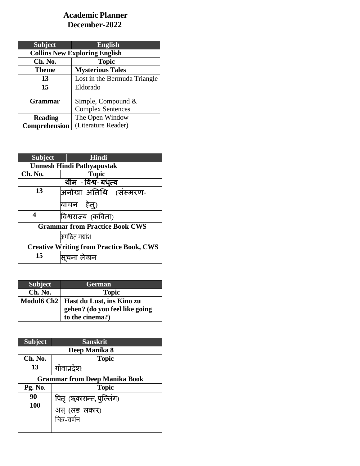## **Academic Planner December-2022**

| <b>Subject</b>                       | <b>English</b>               |
|--------------------------------------|------------------------------|
| <b>Collins New Exploring English</b> |                              |
| Ch. No.                              | <b>Topic</b>                 |
| Theme                                | <b>Mysterious Tales</b>      |
| 13                                   | Lost in the Bermuda Triangle |
| 15                                   | Eldorado                     |
| <b>Grammar</b>                       | Simple, Compound $&$         |
|                                      | <b>Complex Sentences</b>     |
| <b>Reading</b>                       | The Open Window              |
| Comprehension                        | (Literature Reader)          |

| <b>Subject</b>                                  | Hindi                            |  |
|-------------------------------------------------|----------------------------------|--|
|                                                 | <b>Unmesh Hindi Pathyapustak</b> |  |
| Ch. No.                                         | <b>Topic</b>                     |  |
|                                                 | थीम - विश्व- बंधुत्व             |  |
| 13                                              | अनोखा अतिथि (संस्मरण-            |  |
|                                                 | वाचन हेत्)                       |  |
| 4                                               | विश्वराज्य (कविता)               |  |
| <b>Grammar from Practice Book CWS</b>           |                                  |  |
|                                                 | अपठित गद्यांश                    |  |
| <b>Creative Writing from Practice Book, CWS</b> |                                  |  |
| 15                                              | सूचना लेखन                       |  |

| <b>Subject</b> | <b>German</b>                          |
|----------------|----------------------------------------|
| Ch. No.        | <b>Topic</b>                           |
|                | Modul6 Ch2   Hast du Lust, ins Kino zu |
|                | gehen? (do you feel like going         |
|                | to the cinema?)                        |

| <b>Subject</b>                       | <b>Sanskrit</b>              |  |  |
|--------------------------------------|------------------------------|--|--|
|                                      | Deep Manika 8                |  |  |
| Ch. No.                              | <b>Topic</b>                 |  |  |
| 13                                   | गोवाप्रदेश:                  |  |  |
| <b>Grammar from Deep Manika Book</b> |                              |  |  |
| Pg. No.                              | <b>Topic</b>                 |  |  |
| 90                                   | पितृ (ॠकारान्त, पुल्लिंग)    |  |  |
| 100                                  | अस् (लङ लकार)<br>चित्र-वर्णन |  |  |
|                                      |                              |  |  |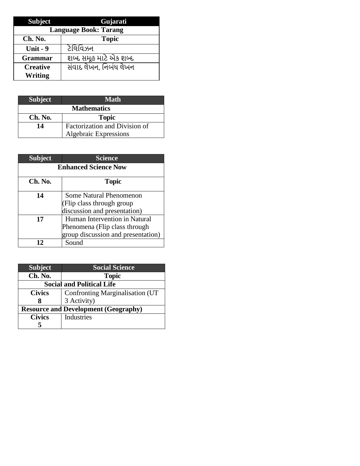| <b>Subject</b>               | Gujarati               |  |
|------------------------------|------------------------|--|
| <b>Language Book: Tarang</b> |                        |  |
| Ch. No.                      | <b>Topic</b>           |  |
| Unit $-9$                    | ટેલિવિઝન               |  |
| <b>Grammar</b>               | શબ્દ સમૂહ માટે એક શબ્દ |  |
| <b>Creative</b>              | સંવાદ લેખન, નિબંધ લેખન |  |
| <b>Writing</b>               |                        |  |

| <b>Subject</b> | <b>Math</b>                   |
|----------------|-------------------------------|
|                | <b>Mathematics</b>            |
| Ch. No.        | <b>Topic</b>                  |
| 14             | Factorization and Division of |
|                | <b>Algebraic Expressions</b>  |
|                |                               |
|                |                               |
| <b>Subject</b> | <b>Science</b>                |

| <b>Subject</b>              | <b>Science</b>                                                                                       |
|-----------------------------|------------------------------------------------------------------------------------------------------|
| <b>Enhanced Science Now</b> |                                                                                                      |
| Ch. No.                     | <b>Topic</b>                                                                                         |
| 14                          | Some Natural Phenomenon<br>(Flip class through group<br>discussion and presentation)                 |
| 17                          | Human Intervention in Natural<br>Phenomena (Flip class through<br>group discussion and presentation) |
| רו                          | $S$ ound                                                                                             |

| <b>Subject</b>                              | <b>Social Science</b>            |
|---------------------------------------------|----------------------------------|
| Ch. No.                                     | <b>Topic</b>                     |
| <b>Social and Political Life</b>            |                                  |
| <b>Civics</b>                               | Confronting Marginalisation (UT) |
|                                             | 3 Activity)                      |
| <b>Resource and Development (Geography)</b> |                                  |
| <b>Civics</b>                               | Industries                       |
|                                             |                                  |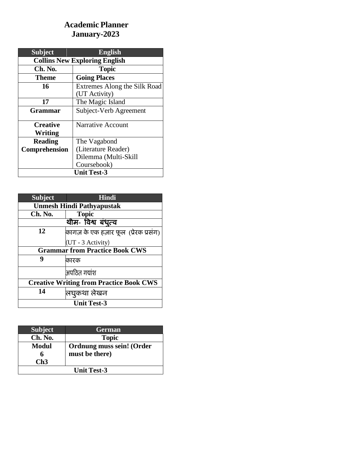# **Academic Planner January-2023**

| <b>Subject</b>                       | <b>English</b>               |
|--------------------------------------|------------------------------|
| <b>Collins New Exploring English</b> |                              |
| Ch. No.                              | <b>Topic</b>                 |
| <b>Theme</b>                         | <b>Going Places</b>          |
| 16                                   | Extremes Along the Silk Road |
|                                      | (UT Activity)                |
| 17                                   | The Magic Island             |
| <b>Grammar</b>                       | Subject-Verb Agreement       |
| <b>Creative</b>                      | <b>Narrative Account</b>     |
| Writing                              |                              |
| <b>Reading</b>                       | The Vagabond                 |
| Comprehension                        | (Literature Reader)          |
|                                      | Dilemma (Multi-Skill         |
|                                      | Coursebook)                  |
| <b>Unit Test-3</b>                   |                              |

| <b>Subject</b>                                 | Hindi                                  |  |
|------------------------------------------------|----------------------------------------|--|
|                                                | <b>Unmesh Hindi Pathyapustak</b>       |  |
| Ch. No.                                        | <b>Topic</b>                           |  |
|                                                | थीम- विश्व बंधुत्व                     |  |
| 12                                             | कागज़ के एक हज़ार फूल  (प्रेरक प्रसंग) |  |
|                                                | (UT - 3 Activity)                      |  |
| <b>Grammar from Practice Book CWS</b>          |                                        |  |
| 9                                              | कारक                                   |  |
|                                                | अपठित गयांश                            |  |
| <b>Creative Writing from Practice Book CWS</b> |                                        |  |
| 14                                             | लिघुकथा लेखन                           |  |
| <b>Unit Test-3</b>                             |                                        |  |

| <b>Subject</b>     | <b>German</b>             |
|--------------------|---------------------------|
| Ch. No.            | <b>Topic</b>              |
| <b>Modul</b>       | Ordnung muss sein! (Order |
|                    | must be there)            |
| Ch3                |                           |
| <b>Unit Test-3</b> |                           |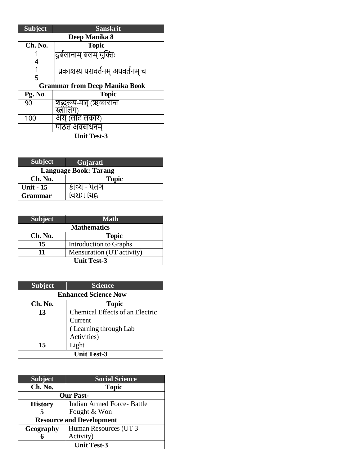| <b>Subject</b>                       | <b>Sanskrit</b>                  |  |
|--------------------------------------|----------------------------------|--|
| Deep Manika 8                        |                                  |  |
| Ch. No.                              | <b>Topic</b>                     |  |
|                                      | दुर्बलानाम् बलम् युक्तिः         |  |
|                                      |                                  |  |
|                                      | प्रकाशस्य परावर्तनम् अपवर्तनम् च |  |
| 5                                    |                                  |  |
| <b>Grammar from Deep Manika Book</b> |                                  |  |
| Pg. No.                              | Topic                            |  |
| 90                                   | शब्दुरूप-मातृ (ऋकारान्त          |  |
|                                      | स्त्रीलिंग                       |  |
| 100                                  | अस् (लोट लकार)                   |  |
|                                      | पठित अवबोधनम                     |  |
| <b>Unit Test-3</b>                   |                                  |  |

| <b>Subject</b>   | Gujarati                     |
|------------------|------------------------------|
|                  | <b>Language Book: Tarang</b> |
| Ch. No.          | <b>Topic</b>                 |
| <b>Unit - 15</b> | કાવ્ય - પતગ                  |
| <b>Grammar</b>   | વિરામ યિહ્ન                  |

| <b>Subject</b>     | Math                      |
|--------------------|---------------------------|
| <b>Mathematics</b> |                           |
| Ch. No.            | <b>Topic</b>              |
| 15                 | Introduction to Graphs    |
| 11                 | Mensuration (UT activity) |
| <b>Unit Test-3</b> |                           |

| <b>Subject</b>              | <b>Science</b>                  |
|-----------------------------|---------------------------------|
| <b>Enhanced Science Now</b> |                                 |
| Ch. No.                     | <b>Topic</b>                    |
| 13                          | Chemical Effects of an Electric |
|                             | Current                         |
|                             | (Learning through Lab           |
|                             | Activities)                     |
| 15                          | Light                           |
| <b>Unit Test-3</b>          |                                 |

| <b>Subject</b>                  | <b>Social Science</b>      |  |
|---------------------------------|----------------------------|--|
| Ch. No.                         | <b>Topic</b>               |  |
| <b>Our Past-</b>                |                            |  |
| <b>History</b>                  | Indian Armed Force- Battle |  |
| 5                               | Fought & Won               |  |
| <b>Resource and Development</b> |                            |  |
| Geography                       | Human Resources (UT3       |  |
|                                 | Activity)                  |  |
| <b>Unit Test-3</b>              |                            |  |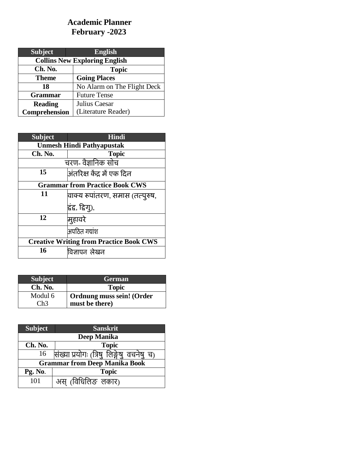### **Academic Planner February -2023**

| <b>Subject</b>                       | <b>English</b>              |
|--------------------------------------|-----------------------------|
| <b>Collins New Exploring English</b> |                             |
| Ch. No.                              | <b>Topic</b>                |
| <b>Theme</b>                         | <b>Going Places</b>         |
| 18                                   | No Alarm on The Flight Deck |
| <b>Grammar</b>                       | <b>Future Tense</b>         |
| <b>Reading</b>                       | Julius Caesar               |
| Comprehension                        | (Literature Reader)         |

| <b>Subject</b>                                 | <b>Hindi</b>                    |
|------------------------------------------------|---------------------------------|
| <b>Unmesh Hindi Pathyapustak</b>               |                                 |
| Ch. No.                                        | <b>Topic</b>                    |
| चरण- वैज्ञानिक सोच                             |                                 |
| 15                                             | अंतरिक्ष केंद्र में एक दिन      |
| <b>Grammar from Practice Book CWS</b>          |                                 |
| 11                                             | वाक्य रूपांतरण, समास (तत्पुरुष, |
|                                                | द्वंद्व, द्विग्),               |
| 12                                             | मुहावरे                         |
|                                                | अपठित गद्यांश                   |
| <b>Creative Writing from Practice Book CWS</b> |                                 |
| 16                                             | विज्ञापन लेखन                   |

| <b>Subject</b> | <b>German</b>             |
|----------------|---------------------------|
| Ch. No.        | <b>Topic</b>              |
| Modul 6        | Ordnung muss sein! (Order |
| Ch3            | must be there)            |

| <b>Subject</b> | <b>Sanskrit</b>                              |  |  |
|----------------|----------------------------------------------|--|--|
| Deep Manika    |                                              |  |  |
| Ch. No.        | <b>Topic</b>                                 |  |  |
| 16             | सिख्या प्रयोगः (त्रिषु लिङ्गेषु वचनेषु<br>च) |  |  |
|                | <b>Grammar from Deep Manika Book</b>         |  |  |
| Pg. No.        | <b>Topic</b>                                 |  |  |
| 101            | अस् (विधिलिङ लकार)                           |  |  |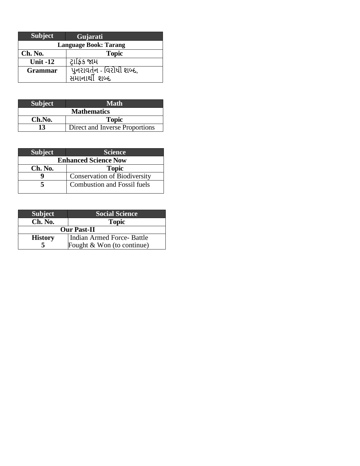| <b>Subject</b>               | Gujarati                  |  |
|------------------------------|---------------------------|--|
| <b>Language Book: Tarang</b> |                           |  |
| Ch. No.                      | <b>Topic</b>              |  |
| <b>Unit -12</b>              | ટ્રાફિક જામ               |  |
| Grammar                      | પુનરાવર્તન - વિરોધી શબ્દ, |  |
|                              | સમાનાર્થી શબ્દ            |  |

| <b>Subject</b>     | Math                           |  |
|--------------------|--------------------------------|--|
| <b>Mathematics</b> |                                |  |
| Ch.No.             | <b>Topic</b>                   |  |
| 13                 | Direct and Inverse Proportions |  |

| <b>Subject</b>              | <b>Science</b>                      |  |
|-----------------------------|-------------------------------------|--|
| <b>Enhanced Science Now</b> |                                     |  |
| Ch. No.                     | <b>Topic</b>                        |  |
|                             | <b>Conservation of Biodiversity</b> |  |
|                             | <b>Combustion and Fossil fuels</b>  |  |

| <b>Subject</b>     | <b>Social Science</b>      |
|--------------------|----------------------------|
| Ch. No.            | <b>Topic</b>               |
| <b>Our Past-II</b> |                            |
| <b>History</b>     | Indian Armed Force-Battle  |
|                    | Fought & Won (to continue) |